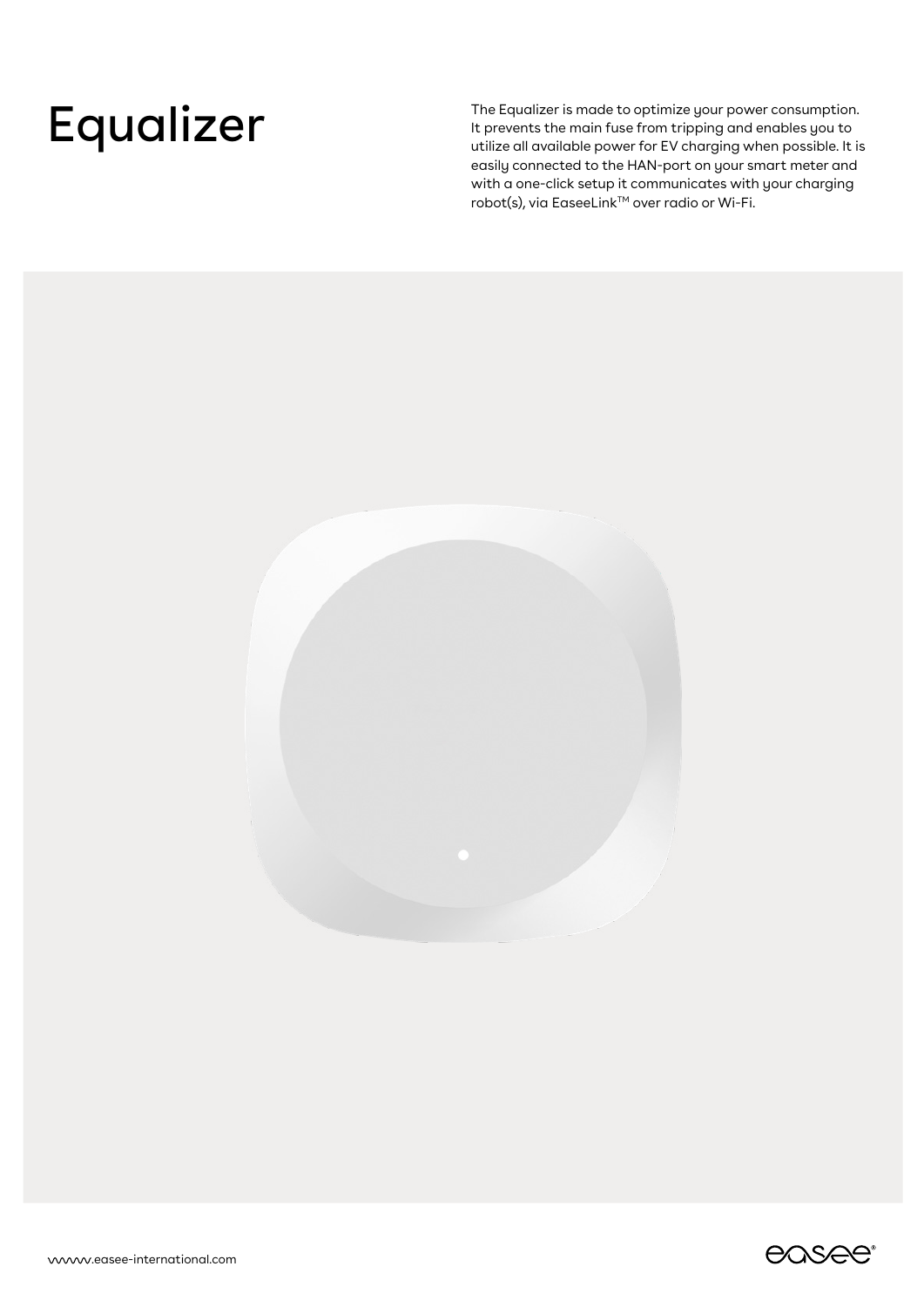The Equalizer is made to optimize your power consumption.<br>It prevents the main fuse from tripping and enables you to<br>utilize all available power for EV charging when possible. It is It prevents the main fuse from tripping and enables you to utilize all available power for EV charging when possible. It is easily connected to the HAN-port on your smart meter and with a one-click setup it communicates with your charging robot(s), via EaseeLink™ over radio or Wi-Fi.



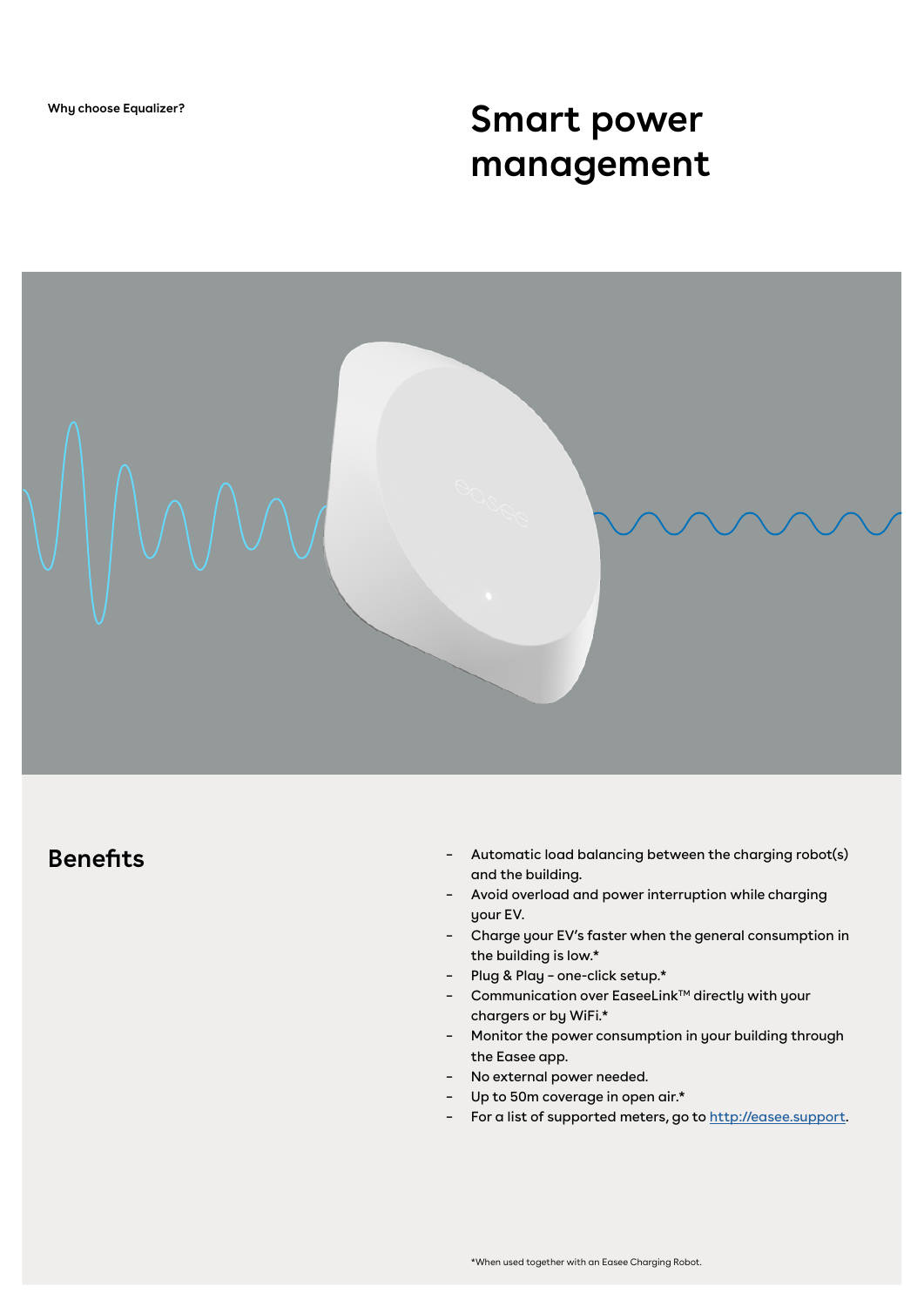# **Smart power management**



## **Benefits**

- Automatic load balancing between the charging robot(s) and the building. –
- Avoid overload and power interruption while charging your EV.
- Charge your EV's faster when the general consumption in the building is low.\*
- Plug & Play one-click setup.\*
- Communication over EaseeLink™ directly with your chargers or by WiFi.\*
- Monitor the power consumption in your building through the Easee app.
- No external power needed.
- Up to 50m coverage in open air.\*
- For a list of supported meters, go to<http://easee.support>.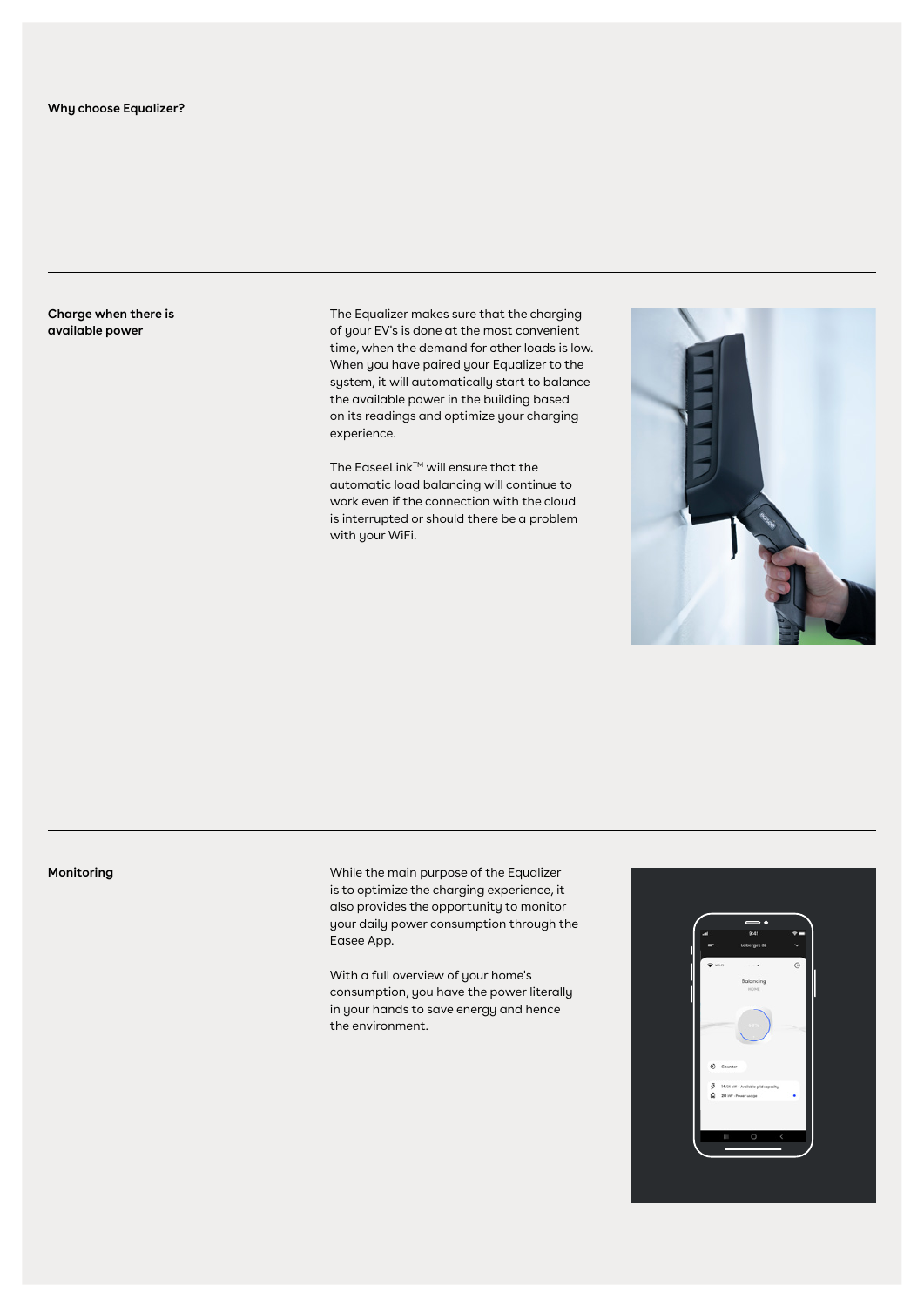**Charge when there is available power**

The Equalizer makes sure that the charging of your EV's is done at the most convenient time, when the demand for other loads is low. When you have paired your Equalizer to the system, it will automatically start to balance the available power in the building based on its readings and optimize your charging experience.

The EaseeLink™ will ensure that the automatic load balancing will continue to work even if the connection with the cloud is interrupted or should there be a problem with your WiFi.



### **Monitoring**

While the main purpose of the Equalizer is to optimize the charging experience, it also provides the opportunity to monitor your daily power consumption through the Easee App.

With a full overview of your home's consumption, you have the power literally in your hands to save energy and hence the environment.

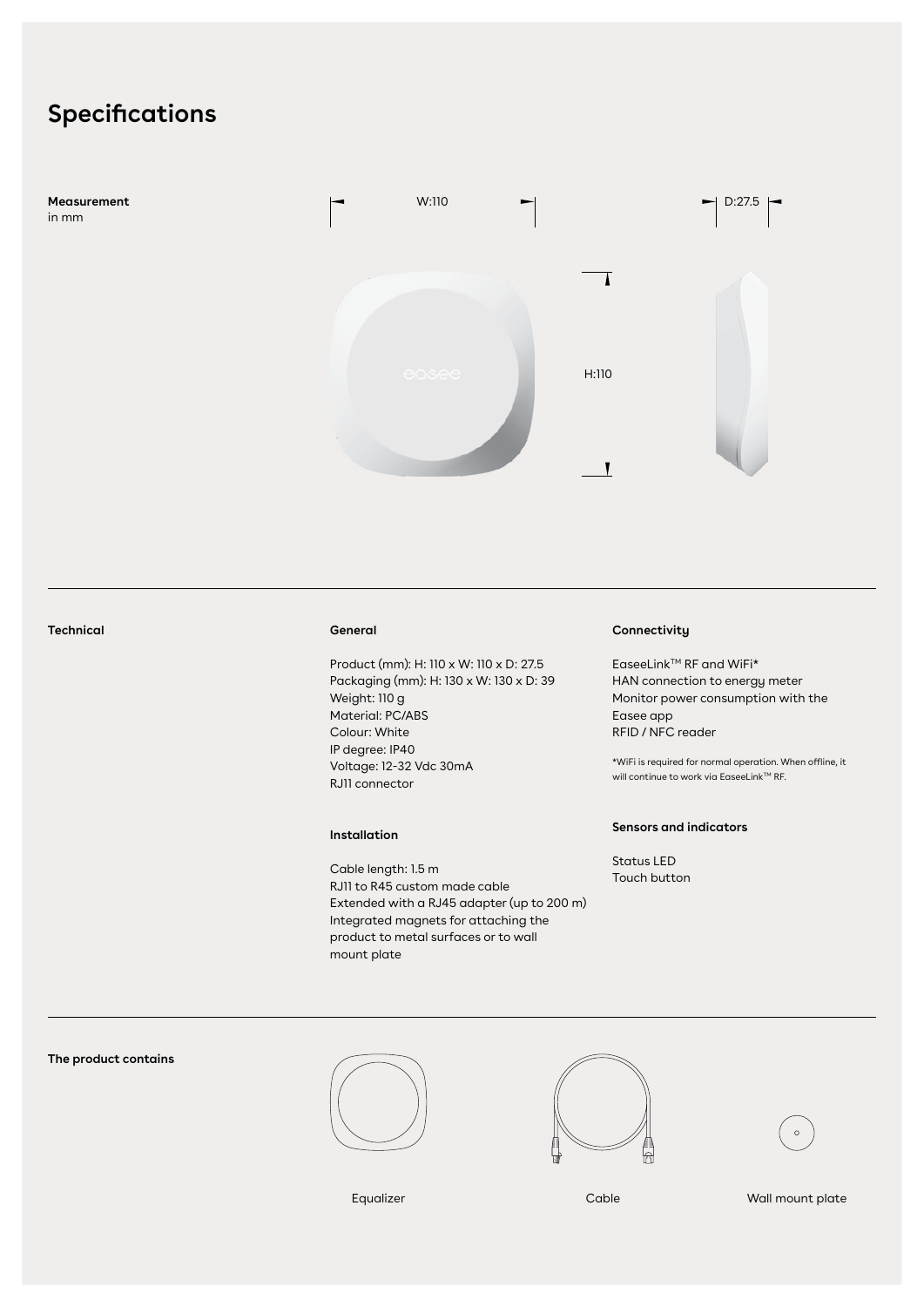## **Specifications**



#### **General**

Product (mm): H: 110 x W: 110 x D: 27.5 Packaging (mm): H: 130 x W: 130 x D: 39 Weight: 110 g Material: PC/ABS Colour: White IP degree: IP40 Voltage: 12-32 Vdc 30mA RJ11 connector

#### **Installation**

Cable length: 1.5 m RJ11 to R45 custom made cable Extended with a RJ45 adapter (up to 200 m) Integrated magnets for attaching the product to metal surfaces or to wall mount plate

### **Technical Connectivity**

EaseeLink™ RF and WiFi\* HAN connection to energy meter Monitor power consumption with the Easee app RFID / NFC reader

\*WiFi is required for normal operation. When offline, it will continue to work via EaseeLink $TM$  RF.

#### **Sensors and indicators**

Status LED Touch button

### **The product contains**









Equalizer Cable Cable Wall mount plate